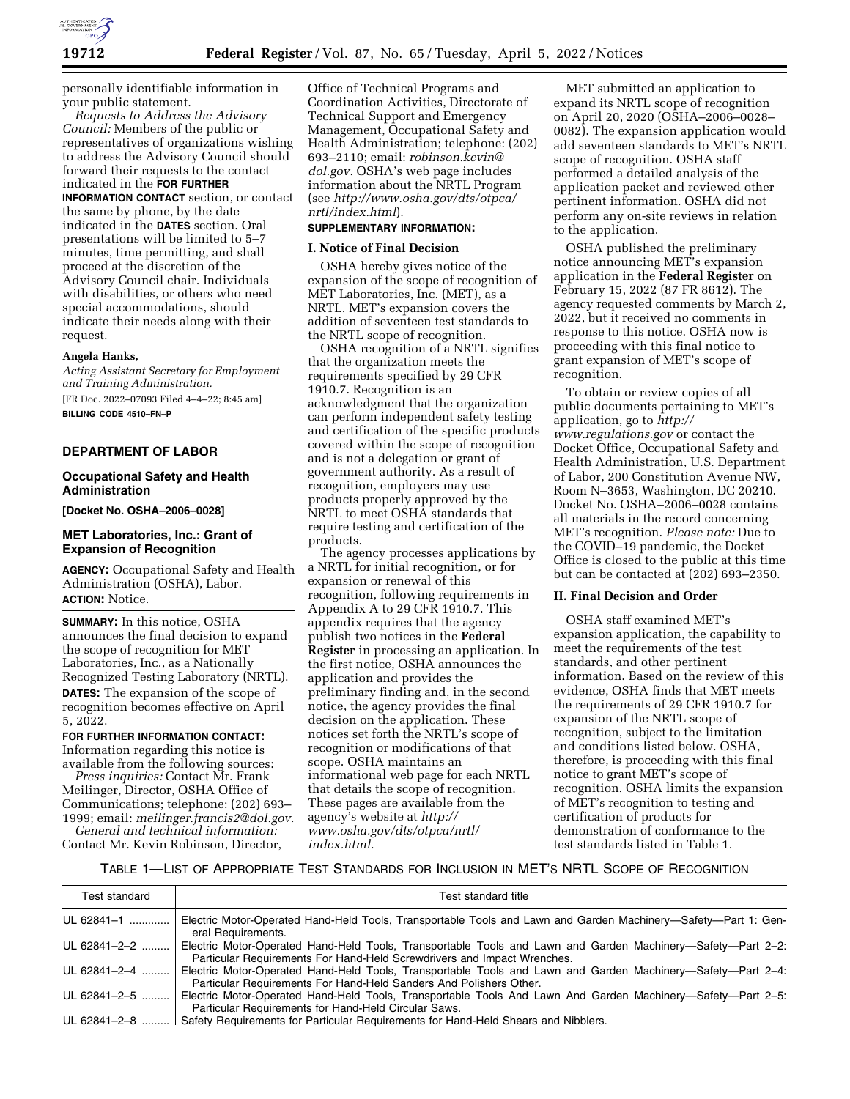

personally identifiable information in your public statement.

*Requests to Address the Advisory Council:* Members of the public or representatives of organizations wishing to address the Advisory Council should forward their requests to the contact indicated in the **FOR FURTHER INFORMATION CONTACT** section, or contact the same by phone, by the date indicated in the **DATES** section. Oral presentations will be limited to 5–7 minutes, time permitting, and shall proceed at the discretion of the Advisory Council chair. Individuals with disabilities, or others who need special accommodations, should indicate their needs along with their request.

# **Angela Hanks,**

*Acting Assistant Secretary for Employment and Training Administration.*  [FR Doc. 2022–07093 Filed 4–4–22; 8:45 am] **BILLING CODE 4510–FN–P** 

### **DEPARTMENT OF LABOR**

#### **Occupational Safety and Health Administration**

**[Docket No. OSHA–2006–0028]** 

## **MET Laboratories, Inc.: Grant of Expansion of Recognition**

**AGENCY:** Occupational Safety and Health Administration (OSHA), Labor. **ACTION:** Notice.

**SUMMARY:** In this notice, OSHA announces the final decision to expand the scope of recognition for MET Laboratories, Inc., as a Nationally Recognized Testing Laboratory (NRTL). **DATES:** The expansion of the scope of recognition becomes effective on April 5, 2022.

#### **FOR FURTHER INFORMATION CONTACT:**

Information regarding this notice is available from the following sources:

*Press inquiries:* Contact Mr. Frank Meilinger, Director, OSHA Office of Communications; telephone: (202) 693– 1999; email: *[meilinger.francis2@dol.gov.](mailto:meilinger.francis2@dol.gov) General and technical information:* 

Contact Mr. Kevin Robinson, Director,

Office of Technical Programs and Coordination Activities, Directorate of Technical Support and Emergency Management, Occupational Safety and Health Administration; telephone: (202) 693–2110; email: *[robinson.kevin@](mailto:robinson.kevin@dol.gov) [dol.gov.](mailto:robinson.kevin@dol.gov)* OSHA's web page includes information about the NRTL Program (see *[http://www.osha.gov/dts/otpca/](http://www.osha.gov/dts/otpca/nrtl/index.html) [nrtl/index.html](http://www.osha.gov/dts/otpca/nrtl/index.html)*).

# **SUPPLEMENTARY INFORMATION:**

## **I. Notice of Final Decision**

OSHA hereby gives notice of the expansion of the scope of recognition of MET Laboratories, Inc. (MET), as a NRTL. MET's expansion covers the addition of seventeen test standards to the NRTL scope of recognition.

OSHA recognition of a NRTL signifies that the organization meets the requirements specified by 29 CFR 1910.7. Recognition is an acknowledgment that the organization can perform independent safety testing and certification of the specific products covered within the scope of recognition and is not a delegation or grant of government authority. As a result of recognition, employers may use products properly approved by the NRTL to meet OSHA standards that require testing and certification of the products.

The agency processes applications by a NRTL for initial recognition, or for expansion or renewal of this recognition, following requirements in Appendix A to 29 CFR 1910.7. This appendix requires that the agency publish two notices in the **Federal Register** in processing an application. In the first notice, OSHA announces the application and provides the preliminary finding and, in the second notice, the agency provides the final decision on the application. These notices set forth the NRTL's scope of recognition or modifications of that scope. OSHA maintains an informational web page for each NRTL that details the scope of recognition. These pages are available from the agency's website at *[http://](http://www.osha.gov/dts/otpca/nrtl/index.html) [www.osha.gov/dts/otpca/nrtl/](http://www.osha.gov/dts/otpca/nrtl/index.html)  [index.html.](http://www.osha.gov/dts/otpca/nrtl/index.html)* 

MET submitted an application to expand its NRTL scope of recognition on April 20, 2020 (OSHA–2006–0028– 0082). The expansion application would add seventeen standards to MET's NRTL scope of recognition. OSHA staff performed a detailed analysis of the application packet and reviewed other pertinent information. OSHA did not perform any on-site reviews in relation to the application.

OSHA published the preliminary notice announcing MET's expansion application in the **Federal Register** on February 15, 2022 (87 FR 8612). The agency requested comments by March 2, 2022, but it received no comments in response to this notice. OSHA now is proceeding with this final notice to grant expansion of MET's scope of recognition.

To obtain or review copies of all public documents pertaining to MET's application, go to *[http://](http://www.regulations.gov) [www.regulations.gov](http://www.regulations.gov)* or contact the Docket Office, Occupational Safety and Health Administration, U.S. Department of Labor, 200 Constitution Avenue NW, Room N–3653, Washington, DC 20210. Docket No. OSHA–2006–0028 contains all materials in the record concerning MET's recognition. *Please note:* Due to the COVID–19 pandemic, the Docket Office is closed to the public at this time but can be contacted at (202) 693–2350.

#### **II. Final Decision and Order**

OSHA staff examined MET's expansion application, the capability to meet the requirements of the test standards, and other pertinent information. Based on the review of this evidence, OSHA finds that MET meets the requirements of 29 CFR 1910.7 for expansion of the NRTL scope of recognition, subject to the limitation and conditions listed below. OSHA, therefore, is proceeding with this final notice to grant MET's scope of recognition. OSHA limits the expansion of MET's recognition to testing and certification of products for demonstration of conformance to the test standards listed in Table 1.

## TABLE 1—LIST OF APPROPRIATE TEST STANDARDS FOR INCLUSION IN MET'S NRTL SCOPE OF RECOGNITION

| Test standard | Test standard title                                                                                                                                                                    |
|---------------|----------------------------------------------------------------------------------------------------------------------------------------------------------------------------------------|
| UL 62841-1    | Electric Motor-Operated Hand-Held Tools, Transportable Tools and Lawn and Garden Machinery-Safety-Part 1: Gen-<br>eral Requirements.                                                   |
| UL 62841-2-2  | Electric Motor-Operated Hand-Held Tools, Transportable Tools and Lawn and Garden Machinery-Safety-Part 2-2:<br>Particular Requirements For Hand-Held Screwdrivers and Impact Wrenches. |
| UL 62841-2-4  | Electric Motor-Operated Hand-Held Tools, Transportable Tools and Lawn and Garden Machinery—Safety—Part 2-4:<br>Particular Requirements For Hand-Held Sanders And Polishers Other.      |
| UL 62841-2-5  | Electric Motor-Operated Hand-Held Tools, Transportable Tools And Lawn And Garden Machinery-Safety-Part 2-5:<br>Particular Requirements for Hand-Held Circular Saws.                    |
| UL 62841-2-8  | Safety Requirements for Particular Requirements for Hand-Held Shears and Nibblers.                                                                                                     |